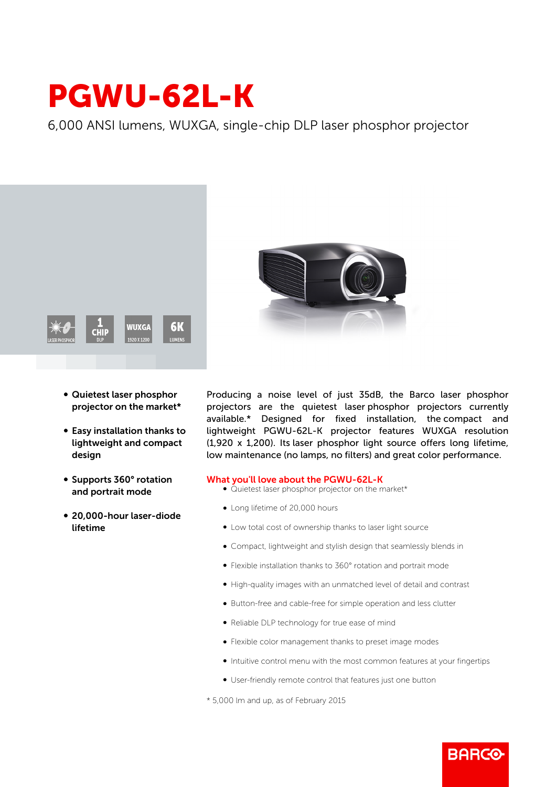## PGWU-62L-K

6,000 ANSI lumens, WUXGA, single-chip DLP laser phosphor projector



- Quietest laser phosphor projector on the market\*
- Easy installation thanks to lightweight and compact design
- b Supports 360° rotation and portrait mode
- 20,000-hour laser-diode lifetime



Producing a noise level of just 35dB, the Barco laser phosphor projectors are the quietest laser phosphor projectors currently available.\* Designed for fixed installation, the compact and lightweight PGWU-62L-K projector features WUXGA resolution (1,920 x 1,200). Its laser phosphor light source offers long lifetime, low maintenance (no lamps, no filters) and great color performance.

## What you'll love about the PGWU-62L-K

- Quietest laser phosphor projector on the market\*
- Long lifetime of 20,000 hours
- $\bullet$  Low total cost of ownership thanks to laser light source
- b Compact, lightweight and stylish design that seamlessly blends in
- b Flexible installation thanks to 360° rotation and portrait mode
- b High-quality images with an unmatched level of detail and contrast
- Button-free and cable-free for simple operation and less clutter
- Reliable DLP technology for true ease of mind
- b Flexible color management thanks to preset image modes
- Intuitive control menu with the most common features at your fingertips

**BARGO** 

b User-friendly remote control that features just one button

\* 5,000 lm and up, as of February 2015